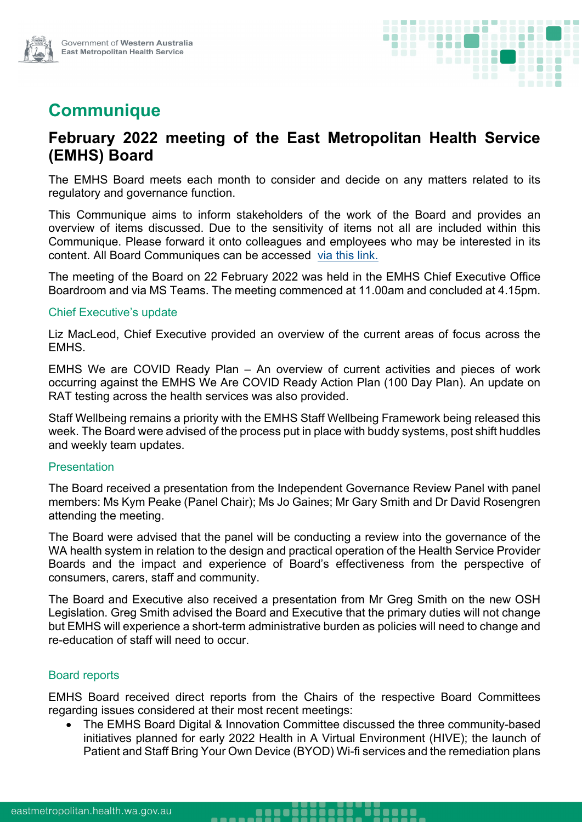

# **Communique**

# **February 2022 meeting of the East Metropolitan Health Service (EMHS) Board**

The EMHS Board meets each month to consider and decide on any matters related to its regulatory and governance function.

This Communique aims to inform stakeholders of the work of the Board and provides an overview of items discussed. Due to the sensitivity of items not all are included within this Communique. Please forward it onto colleagues and employees who may be interested in its content. All Board Communiques can be accessed [via this link.](https://emhs.health.wa.gov.au/About-Us/Health-Service-Board)

The meeting of the Board on 22 February 2022 was held in the EMHS Chief Executive Office Boardroom and via MS Teams. The meeting commenced at 11.00am and concluded at 4.15pm.

#### Chief Executive's update

Liz MacLeod, Chief Executive provided an overview of the current areas of focus across the EMHS.

EMHS We are COVID Ready Plan – An overview of current activities and pieces of work occurring against the EMHS We Are COVID Ready Action Plan (100 Day Plan). An update on RAT testing across the health services was also provided.

Staff Wellbeing remains a priority with the EMHS Staff Wellbeing Framework being released this week. The Board were advised of the process put in place with buddy systems, post shift huddles and weekly team updates.

#### **Presentation**

The Board received a presentation from the Independent Governance Review Panel with panel members: Ms Kym Peake (Panel Chair); Ms Jo Gaines; Mr Gary Smith and Dr David Rosengren attending the meeting.

The Board were advised that the panel will be conducting a review into the governance of the WA health system in relation to the design and practical operation of the Health Service Provider Boards and the impact and experience of Board's effectiveness from the perspective of consumers, carers, staff and community.

The Board and Executive also received a presentation from Mr Greg Smith on the new OSH Legislation. Greg Smith advised the Board and Executive that the primary duties will not change but EMHS will experience a short-term administrative burden as policies will need to change and re-education of staff will need to occur.

### Board reports

EMHS Board received direct reports from the Chairs of the respective Board Committees regarding issues considered at their most recent meetings:

. . . . .

 The EMHS Board Digital & Innovation Committee discussed the three community-based initiatives planned for early 2022 Health in A Virtual Environment (HIVE); the launch of Patient and Staff Bring Your Own Device (BYOD) Wi-fi services and the remediation plans